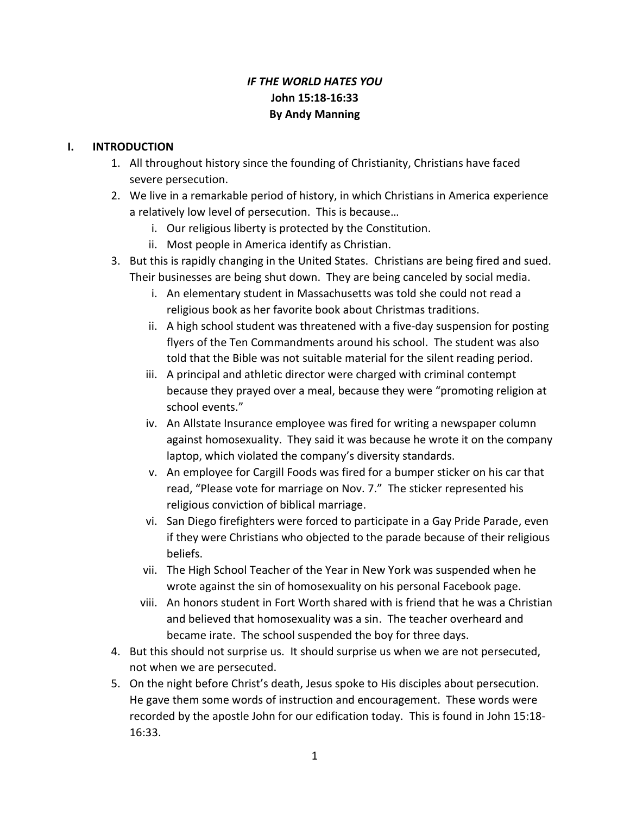# *IF THE WORLD HATES YOU* **John 15:18-16:33 By Andy Manning**

#### **I. INTRODUCTION**

- 1. All throughout history since the founding of Christianity, Christians have faced severe persecution.
- 2. We live in a remarkable period of history, in which Christians in America experience a relatively low level of persecution. This is because…
	- i. Our religious liberty is protected by the Constitution.
	- ii. Most people in America identify as Christian.
- 3. But this is rapidly changing in the United States. Christians are being fired and sued. Their businesses are being shut down. They are being canceled by social media.
	- i. An elementary student in Massachusetts was told she could not read a religious book as her favorite book about Christmas traditions.
	- ii. A high school student was threatened with a five-day suspension for posting flyers of the Ten Commandments around his school. The student was also told that the Bible was not suitable material for the silent reading period.
	- iii. A principal and athletic director were charged with criminal contempt because they prayed over a meal, because they were "promoting religion at school events."
	- iv. An Allstate Insurance employee was fired for writing a newspaper column against homosexuality. They said it was because he wrote it on the company laptop, which violated the company's diversity standards.
	- v. An employee for Cargill Foods was fired for a bumper sticker on his car that read, "Please vote for marriage on Nov. 7." The sticker represented his religious conviction of biblical marriage.
	- vi. San Diego firefighters were forced to participate in a Gay Pride Parade, even if they were Christians who objected to the parade because of their religious beliefs.
	- vii. The High School Teacher of the Year in New York was suspended when he wrote against the sin of homosexuality on his personal Facebook page.
	- viii. An honors student in Fort Worth shared with is friend that he was a Christian and believed that homosexuality was a sin. The teacher overheard and became irate. The school suspended the boy for three days.
- 4. But this should not surprise us. It should surprise us when we are not persecuted, not when we are persecuted.
- 5. On the night before Christ's death, Jesus spoke to His disciples about persecution. He gave them some words of instruction and encouragement. These words were recorded by the apostle John for our edification today. This is found in John 15:18- 16:33.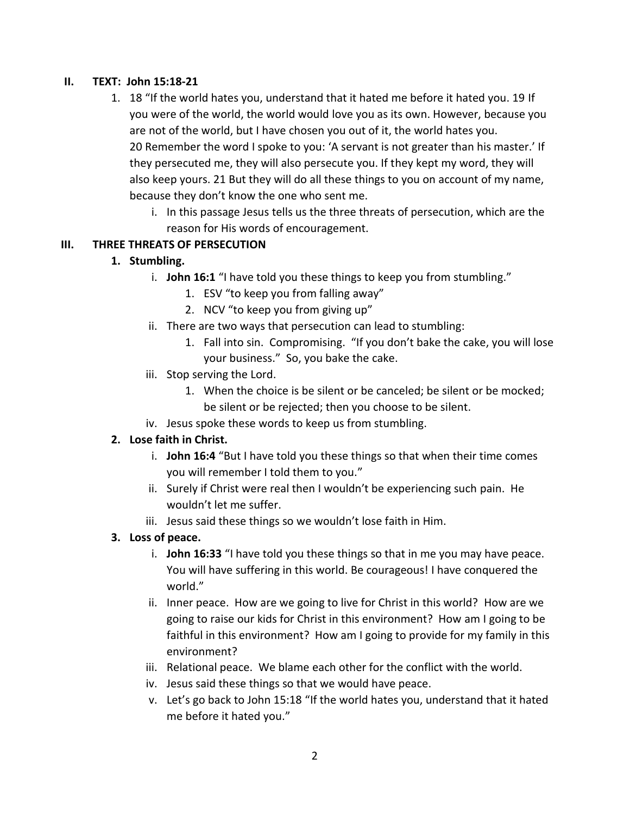#### **II. TEXT: John 15:18-21**

- 1. 18 "If the world hates you, understand that it hated me before it hated you. 19 If you were of the world, the world would love you as its own. However, because you are not of the world, but I have chosen you out of it, the world hates you. 20 Remember the word I spoke to you: 'A servant is not greater than his master.' If they persecuted me, they will also persecute you. If they kept my word, they will also keep yours. 21 But they will do all these things to you on account of my name, because they don't know the one who sent me.
	- i. In this passage Jesus tells us the three threats of persecution, which are the reason for His words of encouragement.

#### **III. THREE THREATS OF PERSECUTION**

#### **1. Stumbling.**

- i. **John 16:1** "I have told you these things to keep you from stumbling."
	- 1. ESV "to keep you from falling away"
	- 2. NCV "to keep you from giving up"
- ii. There are two ways that persecution can lead to stumbling:
	- 1. Fall into sin. Compromising. "If you don't bake the cake, you will lose your business." So, you bake the cake.
- iii. Stop serving the Lord.
	- 1. When the choice is be silent or be canceled; be silent or be mocked; be silent or be rejected; then you choose to be silent.
- iv. Jesus spoke these words to keep us from stumbling.

### **2. Lose faith in Christ.**

- i. **John 16:4** "But I have told you these things so that when their time comes you will remember I told them to you."
- ii. Surely if Christ were real then I wouldn't be experiencing such pain. He wouldn't let me suffer.
- iii. Jesus said these things so we wouldn't lose faith in Him.

#### **3. Loss of peace.**

- i. **John 16:33** "I have told you these things so that in me you may have peace. You will have suffering in this world. Be courageous! I have conquered the world."
- ii. Inner peace. How are we going to live for Christ in this world? How are we going to raise our kids for Christ in this environment? How am I going to be faithful in this environment? How am I going to provide for my family in this environment?
- iii. Relational peace. We blame each other for the conflict with the world.
- iv. Jesus said these things so that we would have peace.
- v. Let's go back to John 15:18 "If the world hates you, understand that it hated me before it hated you."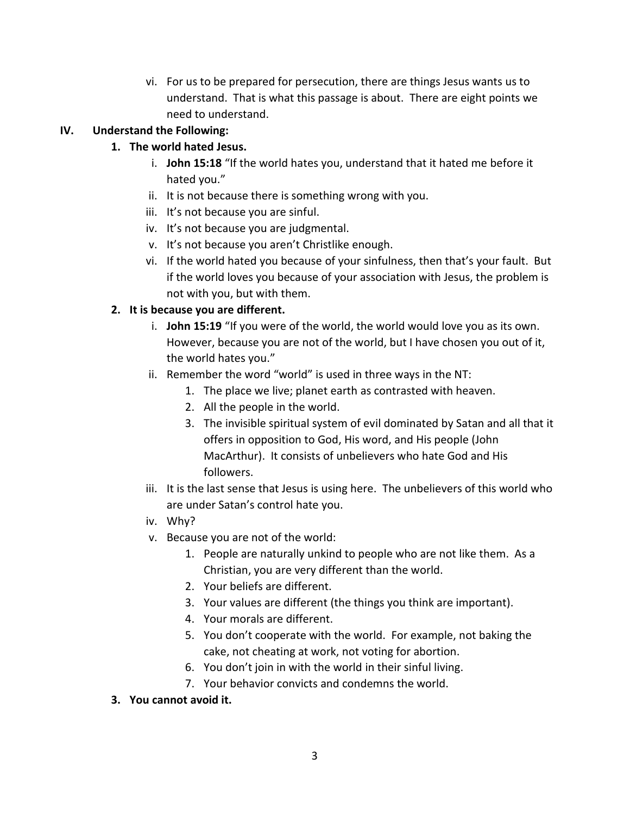vi. For us to be prepared for persecution, there are things Jesus wants us to understand. That is what this passage is about. There are eight points we need to understand.

## **IV. Understand the Following:**

## **1. The world hated Jesus.**

- i. **John 15:18** "If the world hates you, understand that it hated me before it hated you."
- ii. It is not because there is something wrong with you.
- iii. It's not because you are sinful.
- iv. It's not because you are judgmental.
- v. It's not because you aren't Christlike enough.
- vi. If the world hated you because of your sinfulness, then that's your fault. But if the world loves you because of your association with Jesus, the problem is not with you, but with them.

### **2. It is because you are different.**

- i. **John 15:19** "If you were of the world, the world would love you as its own. However, because you are not of the world, but I have chosen you out of it, the world hates you."
- ii. Remember the word "world" is used in three ways in the NT:
	- 1. The place we live; planet earth as contrasted with heaven.
	- 2. All the people in the world.
	- 3. The invisible spiritual system of evil dominated by Satan and all that it offers in opposition to God, His word, and His people (John MacArthur). It consists of unbelievers who hate God and His followers.
- iii. It is the last sense that Jesus is using here. The unbelievers of this world who are under Satan's control hate you.
- iv. Why?
- v. Because you are not of the world:
	- 1. People are naturally unkind to people who are not like them. As a Christian, you are very different than the world.
	- 2. Your beliefs are different.
	- 3. Your values are different (the things you think are important).
	- 4. Your morals are different.
	- 5. You don't cooperate with the world. For example, not baking the cake, not cheating at work, not voting for abortion.
	- 6. You don't join in with the world in their sinful living.
	- 7. Your behavior convicts and condemns the world.
- **3. You cannot avoid it.**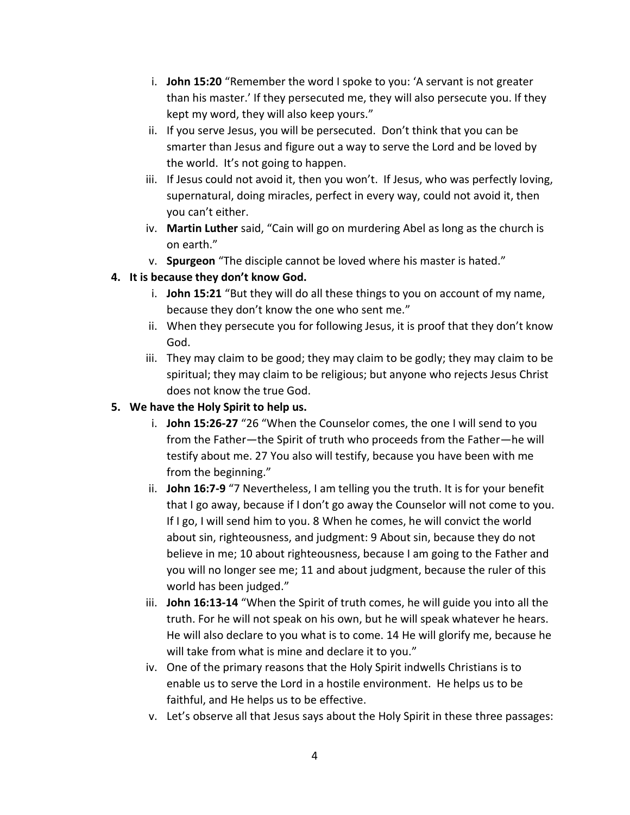- i. **John 15:20** "Remember the word I spoke to you: 'A servant is not greater than his master.' If they persecuted me, they will also persecute you. If they kept my word, they will also keep yours."
- ii. If you serve Jesus, you will be persecuted. Don't think that you can be smarter than Jesus and figure out a way to serve the Lord and be loved by the world. It's not going to happen.
- iii. If Jesus could not avoid it, then you won't. If Jesus, who was perfectly loving, supernatural, doing miracles, perfect in every way, could not avoid it, then you can't either.
- iv. **Martin Luther** said, "Cain will go on murdering Abel as long as the church is on earth."
- v. **Spurgeon** "The disciple cannot be loved where his master is hated."

### **4. It is because they don't know God.**

- i. **John 15:21** "But they will do all these things to you on account of my name, because they don't know the one who sent me."
- ii. When they persecute you for following Jesus, it is proof that they don't know God.
- iii. They may claim to be good; they may claim to be godly; they may claim to be spiritual; they may claim to be religious; but anyone who rejects Jesus Christ does not know the true God.

### **5. We have the Holy Spirit to help us.**

- i. **John 15:26-27** "26 "When the Counselor comes, the one I will send to you from the Father—the Spirit of truth who proceeds from the Father—he will testify about me. 27 You also will testify, because you have been with me from the beginning."
- ii. **John 16:7-9** "7 Nevertheless, I am telling you the truth. It is for your benefit that I go away, because if I don't go away the Counselor will not come to you. If I go, I will send him to you. 8 When he comes, he will convict the world about sin, righteousness, and judgment: 9 About sin, because they do not believe in me; 10 about righteousness, because I am going to the Father and you will no longer see me; 11 and about judgment, because the ruler of this world has been judged."
- iii. **John 16:13-14** "When the Spirit of truth comes, he will guide you into all the truth. For he will not speak on his own, but he will speak whatever he hears. He will also declare to you what is to come. 14 He will glorify me, because he will take from what is mine and declare it to you."
- iv. One of the primary reasons that the Holy Spirit indwells Christians is to enable us to serve the Lord in a hostile environment. He helps us to be faithful, and He helps us to be effective.
- v. Let's observe all that Jesus says about the Holy Spirit in these three passages: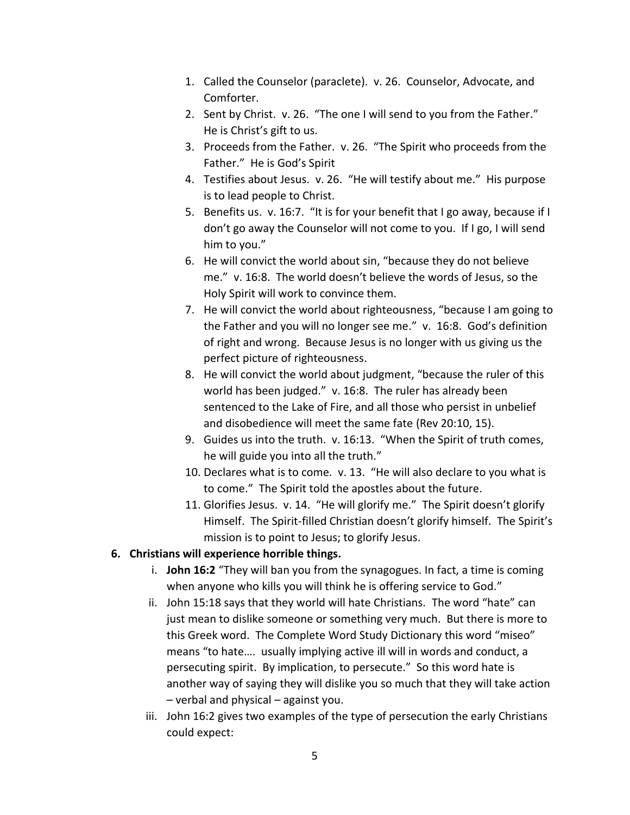- 1. Called the Counselor (paraclete). v. 26. Counselor, Advocate, and Comforter.
- 2. Sent by Christ. v. 26. "The one I will send to you from the Father." He is Christ's gift to us.
- 3. Proceeds from the Father. v. 26. "The Spirit who proceeds from the Father." He is God's Spirit
- 4. Testifies about Jesus. v. 26. "He will testify about me." His purpose is to lead people to Christ.
- 5. Benefits us. v. 16:7. "It is for your benefit that I go away, because if I don't go away the Counselor will not come to you. If I go, I will send him to you."
- 6. He will convict the world about sin, "because they do not believe me." v. 16:8. The world doesn't believe the words of Jesus, so the Holy Spirit will work to convince them.
- 7. He will convict the world about righteousness, "because I am going to the Father and you will no longer see me." v. 16:8. God's definition of right and wrong. Because Jesus is no longer with us giving us the perfect picture of righteousness.
- 8. He will convict the world about judgment, "because the ruler of this world has been judged." v. 16:8. The ruler has already been sentenced to the Lake of Fire, and all those who persist in unbelief and disobedience will meet the same fate (Rev 20:10, 15).
- 9. Guides us into the truth. v. 16:13. "When the Spirit of truth comes, he will guide you into all the truth."
- 10. Declares what is to come. v. 13. "He will also declare to you what is to come." The Spirit told the apostles about the future.
- 11. Glorifies Jesus. v. 14. "He will glorify me." The Spirit doesn't glorify Himself. The Spirit-filled Christian doesn't glorify himself. The Spirit's mission is to point to Jesus; to glorify Jesus.

#### **6. Christians will experience horrible things.**

- i. **John 16:2** "They will ban you from the synagogues. In fact, a time is coming when anyone who kills you will think he is offering service to God."
- ii. John 15:18 says that they world will hate Christians. The word "hate" can just mean to dislike someone or something very much. But there is more to this Greek word. The Complete Word Study Dictionary this word "miseo" means "to hate…. usually implying active ill will in words and conduct, a persecuting spirit. By implication, to persecute." So this word hate is another way of saying they will dislike you so much that they will take action – verbal and physical – against you.
- iii. John 16:2 gives two examples of the type of persecution the early Christians could expect: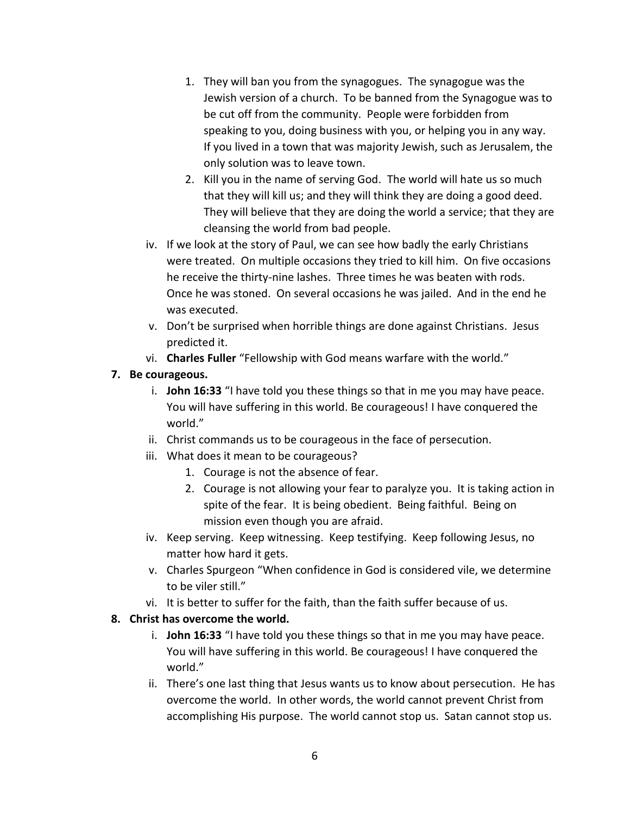- 1. They will ban you from the synagogues. The synagogue was the Jewish version of a church. To be banned from the Synagogue was to be cut off from the community. People were forbidden from speaking to you, doing business with you, or helping you in any way. If you lived in a town that was majority Jewish, such as Jerusalem, the only solution was to leave town.
- 2. Kill you in the name of serving God. The world will hate us so much that they will kill us; and they will think they are doing a good deed. They will believe that they are doing the world a service; that they are cleansing the world from bad people.
- iv. If we look at the story of Paul, we can see how badly the early Christians were treated. On multiple occasions they tried to kill him. On five occasions he receive the thirty-nine lashes. Three times he was beaten with rods. Once he was stoned. On several occasions he was jailed. And in the end he was executed.
- v. Don't be surprised when horrible things are done against Christians. Jesus predicted it.
- vi. **Charles Fuller** "Fellowship with God means warfare with the world."

### **7. Be courageous.**

- i. **John 16:33** "I have told you these things so that in me you may have peace. You will have suffering in this world. Be courageous! I have conquered the world."
- ii. Christ commands us to be courageous in the face of persecution.
- iii. What does it mean to be courageous?
	- 1. Courage is not the absence of fear.
	- 2. Courage is not allowing your fear to paralyze you. It is taking action in spite of the fear. It is being obedient. Being faithful. Being on mission even though you are afraid.
- iv. Keep serving. Keep witnessing. Keep testifying. Keep following Jesus, no matter how hard it gets.
- v. Charles Spurgeon "When confidence in God is considered vile, we determine to be viler still."
- vi. It is better to suffer for the faith, than the faith suffer because of us.

#### **8. Christ has overcome the world.**

- i. **John 16:33** "I have told you these things so that in me you may have peace. You will have suffering in this world. Be courageous! I have conquered the world."
- ii. There's one last thing that Jesus wants us to know about persecution. He has overcome the world. In other words, the world cannot prevent Christ from accomplishing His purpose. The world cannot stop us. Satan cannot stop us.